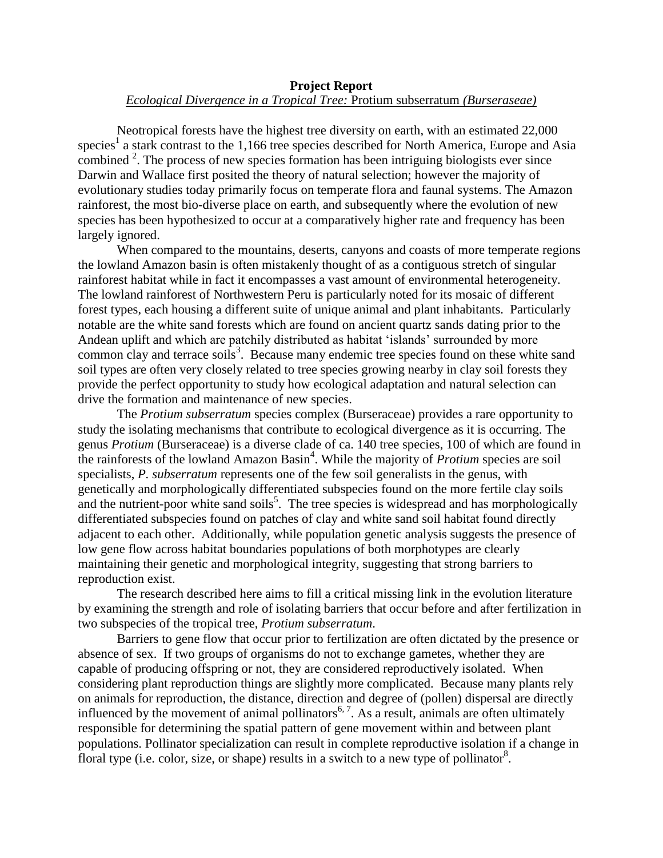## **Project Report** *Ecological Divergence in a Tropical Tree:* Protium subserratum *(Burseraseae)*

Neotropical forests have the highest tree diversity on earth, with an estimated 22,000 species<sup>1</sup> a stark contrast to the 1,166 tree species described for North America, Europe and Asia combined  $2$ . The process of new species formation has been intriguing biologists ever since Darwin and Wallace first posited the theory of natural selection; however the majority of evolutionary studies today primarily focus on temperate flora and faunal systems. The Amazon rainforest, the most bio-diverse place on earth, and subsequently where the evolution of new species has been hypothesized to occur at a comparatively higher rate and frequency has been largely ignored.

When compared to the mountains, deserts, canyons and coasts of more temperate regions the lowland Amazon basin is often mistakenly thought of as a contiguous stretch of singular rainforest habitat while in fact it encompasses a vast amount of environmental heterogeneity. The lowland rainforest of Northwestern Peru is particularly noted for its mosaic of different forest types, each housing a different suite of unique animal and plant inhabitants. Particularly notable are the white sand forests which are found on ancient quartz sands dating prior to the Andean uplift and which are patchily distributed as habitat 'islands' surrounded by more common clay and terrace soils<sup>3</sup>. Because many endemic tree species found on these white sand soil types are often very closely related to tree species growing nearby in clay soil forests they provide the perfect opportunity to study how ecological adaptation and natural selection can drive the formation and maintenance of new species.

The *Protium subserratum* species complex (Burseraceae) provides a rare opportunity to study the isolating mechanisms that contribute to ecological divergence as it is occurring. The genus *Protium* (Burseraceae) is a diverse clade of ca. 140 tree species, 100 of which are found in the rainforests of the lowland Amazon Basin<sup>4</sup>. While the majority of *Protium* species are soil specialists, *P. subserratum* represents one of the few soil generalists in the genus, with genetically and morphologically differentiated subspecies found on the more fertile clay soils and the nutrient-poor white sand soils<sup>5</sup>. The tree species is widespread and has morphologically differentiated subspecies found on patches of clay and white sand soil habitat found directly adjacent to each other. Additionally, while population genetic analysis suggests the presence of low gene flow across habitat boundaries populations of both morphotypes are clearly maintaining their genetic and morphological integrity, suggesting that strong barriers to reproduction exist.

The research described here aims to fill a critical missing link in the evolution literature by examining the strength and role of isolating barriers that occur before and after fertilization in two subspecies of the tropical tree, *Protium subserratum*.

Barriers to gene flow that occur prior to fertilization are often dictated by the presence or absence of sex. If two groups of organisms do not to exchange gametes, whether they are capable of producing offspring or not, they are considered reproductively isolated. When considering plant reproduction things are slightly more complicated. Because many plants rely on animals for reproduction, the distance, direction and degree of (pollen) dispersal are directly influenced by the movement of animal pollinators<sup>6, 7</sup>. As a result, animals are often ultimately responsible for determining the spatial pattern of gene movement within and between plant populations. Pollinator specialization can result in complete reproductive isolation if a change in floral type (i.e. color, size, or shape) results in a switch to a new type of pollinator<sup>8</sup>.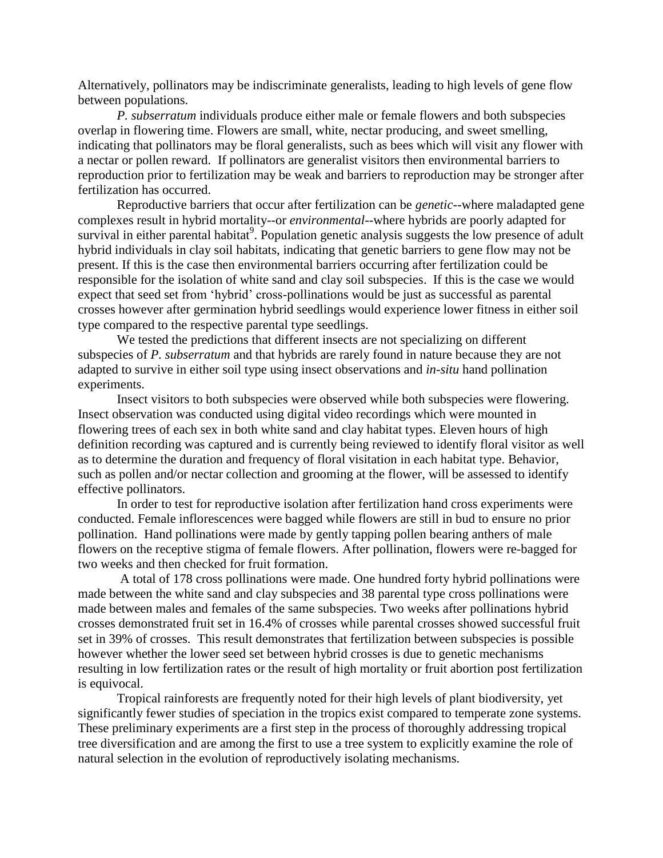Alternatively, pollinators may be indiscriminate generalists, leading to high levels of gene flow between populations.

*P. subserratum* individuals produce either male or female flowers and both subspecies overlap in flowering time. Flowers are small, white, nectar producing, and sweet smelling, indicating that pollinators may be floral generalists, such as bees which will visit any flower with a nectar or pollen reward. If pollinators are generalist visitors then environmental barriers to reproduction prior to fertilization may be weak and barriers to reproduction may be stronger after fertilization has occurred.

Reproductive barriers that occur after fertilization can be *genetic*--where maladapted gene complexes result in hybrid mortality--or *environmental*--where hybrids are poorly adapted for survival in either parental habitat<sup>9</sup>. Population genetic analysis suggests the low presence of adult hybrid individuals in clay soil habitats, indicating that genetic barriers to gene flow may not be present. If this is the case then environmental barriers occurring after fertilization could be responsible for the isolation of white sand and clay soil subspecies. If this is the case we would expect that seed set from 'hybrid' cross-pollinations would be just as successful as parental crosses however after germination hybrid seedlings would experience lower fitness in either soil type compared to the respective parental type seedlings.

We tested the predictions that different insects are not specializing on different subspecies of *P. subserratum* and that hybrids are rarely found in nature because they are not adapted to survive in either soil type using insect observations and *in-situ* hand pollination experiments.

Insect visitors to both subspecies were observed while both subspecies were flowering. Insect observation was conducted using digital video recordings which were mounted in flowering trees of each sex in both white sand and clay habitat types. Eleven hours of high definition recording was captured and is currently being reviewed to identify floral visitor as well as to determine the duration and frequency of floral visitation in each habitat type. Behavior, such as pollen and/or nectar collection and grooming at the flower, will be assessed to identify effective pollinators.

In order to test for reproductive isolation after fertilization hand cross experiments were conducted. Female inflorescences were bagged while flowers are still in bud to ensure no prior pollination. Hand pollinations were made by gently tapping pollen bearing anthers of male flowers on the receptive stigma of female flowers. After pollination, flowers were re-bagged for two weeks and then checked for fruit formation.

A total of 178 cross pollinations were made. One hundred forty hybrid pollinations were made between the white sand and clay subspecies and 38 parental type cross pollinations were made between males and females of the same subspecies. Two weeks after pollinations hybrid crosses demonstrated fruit set in 16.4% of crosses while parental crosses showed successful fruit set in 39% of crosses. This result demonstrates that fertilization between subspecies is possible however whether the lower seed set between hybrid crosses is due to genetic mechanisms resulting in low fertilization rates or the result of high mortality or fruit abortion post fertilization is equivocal.

Tropical rainforests are frequently noted for their high levels of plant biodiversity, yet significantly fewer studies of speciation in the tropics exist compared to temperate zone systems. These preliminary experiments are a first step in the process of thoroughly addressing tropical tree diversification and are among the first to use a tree system to explicitly examine the role of natural selection in the evolution of reproductively isolating mechanisms.